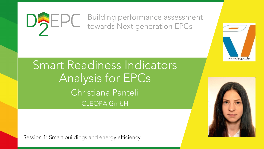#### Building performance assessment DAEPC towards Next generation EPCs

Smart Readiness Indicators Analysis for EPCs Christiana Panteli CLEOPA GmbH

Session 1: Smart buildings and energy efficiency



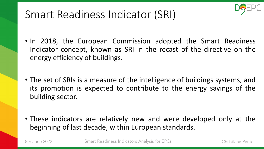# Smart Readiness Indicator (SRI)

- In 2018, the European Commission adopted the Smart Readiness Indicator concept, known as SRI in the recast of the directive on the energy efficiency of buildings.
- The set of SRIs is a measure of the intelligence of buildings systems, and its promotion is expected to contribute to the energy savings of the building sector.
- These indicators are relatively new and were developed only at the beginning of last decade, within European standards.

8th June 2022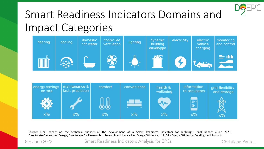

# Smart Readiness Indicators Domains and Impact Categories





Source: Final report on the technical support of the development of a Smart Readiness Indicators for buildings, Final Report (June 2020) Directorate-General for Energy, Directorate C - Renewables, Research and Innovation, Energy Efficiency, Unit C4 – Energy Efficiency: Buildings and Products

8th June 2022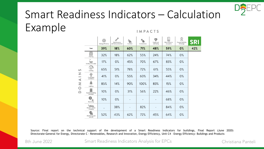

#### Smart Readiness Indicators – Calculation Example **IMPACTS**

|                                                      |                                         | Energy efficiency | Maintenance<br>and fault protection | પ<br>Comfort             | Convenience | W<br>Health and<br>well-being | 查<br>Ш<br>Information to<br>occupants | 倉<br>Energy flexibility<br>& storage | SRI |
|------------------------------------------------------|-----------------------------------------|-------------------|-------------------------------------|--------------------------|-------------|-------------------------------|---------------------------------------|--------------------------------------|-----|
| $\omega$<br>Z<br>$\hspace{0.1mm}-\hspace{0.1mm}$     | Total                                   | 39%               | 18%                                 | 60%                      | 71%         | 48%                           | 59%                                   | 0%                                   | 42% |
|                                                      | 1555555<br>IIII<br>Heating              | 32%               | 18%                                 | 62%                      | 55%         | 24%                           | 74%                                   | 0%                                   |     |
|                                                      | Sanitary hot water                      | 17%               | $0\%$                               | 45%                      | 70%         | 67%                           | 83%                                   | $0\%$                                |     |
|                                                      | ₩<br>Cooling                            | 65%               | 51%                                 | 78%                      | 72%         | 61%                           | 55%                                   | 0%                                   |     |
|                                                      | $\bigcirc$<br>Controlled<br>ventilation | 41%               | 0%                                  | 55%                      | 60%         | 34%                           | 44%                                   | 0%                                   |     |
| $\begin{array}{c}\n\searrow\\ \searrow\n\end{array}$ | Lighting                                | 85%               | 14%                                 | 90%                      | 100%        | 83%                           | 15%                                   | $0\%$                                |     |
| $\circ$<br>$\triangle$                               | Dynamic building<br>envelope            | 10%               | $0\%$                               | 31%                      | 56%         | 22%                           | 46%                                   | 0%                                   |     |
|                                                      | ۰<br>Electricity                        | 10%               | $0\%$                               |                          |             |                               | 68%                                   | $0\%$                                |     |
|                                                      | Electric vehicle<br>charging            | $\qquad \qquad$   | 38%                                 | $\overline{\phantom{0}}$ | 82%         | $\overline{\phantom{0}}$      | 84%                                   | 0%                                   |     |
|                                                      | Monitoring and<br>control               | 52%               | 43%                                 | 62%                      | 72%         | 45%                           | 64%                                   | 0%                                   |     |

Source: Final report on the technical support of the development of a Smart Readiness Indicators for buildings, Final Report (June 2020) Directorate-General for Energy, Directorate C - Renewables, Research and Innovation, Energy Efficiency, Unit C4 – Energy Efficiency: Buildings and Products

8th June 2022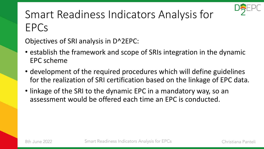

# Smart Readiness Indicators Analysis for EPCs

Objectives of SRI analysis in D^2EPC:

- establish the framework and scope of SRIs integration in the dynamic EPC scheme
- development of the required procedures which will define guidelines for the realization of SRI certification based on the linkage of EPC data.
- linkage of the SRI to the dynamic EPC in a mandatory way, so an assessment would be offered each time an EPC is conducted.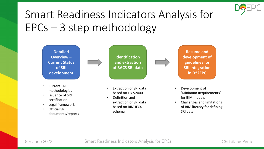

# Smart Readiness Indicators Analysis for EPCs – 3 step methodology

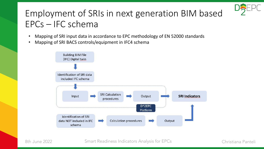## Employment of SRIs in next generation BIM based EPCs – IFC schema

- Mapping of SRI input data in accordance to EPC methodology of EN 52000 standards
- Mapping of SRI BACS controls/equipment in IFC4 schema

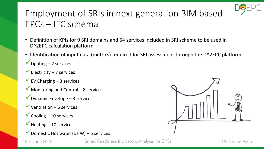

## Employment of SRIs in next generation BIM based EPCs – IFC schema

- Definition of KPIs for 9 SRI domains and 54 services included in SRI scheme to be used in D^2EPC calculation platform
- Identification of input data (metrics) required for SRI assessment through the D^2EPC platform
- $\checkmark$  Lighting 2 services
- $\checkmark$  Electricity 7 services
- $\checkmark$  EV Charging 3 services
- ◆ Monitoring and Control 8 services
- $\checkmark$  Dynamic Envelope 3 services
- $\checkmark$  Ventilation 6 services
- $\checkmark$  Cooling 10 services
- $\blacktriangledown$  Heating 10 services
- $\checkmark$  Domestic Hot water (DHW) 5 services



8th June 2022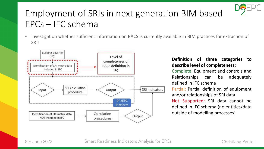## Employment of SRIs in next generation BIM based EPCs – IFC schema

• Investigation whether sufficient information on BACS is currently available in BIM practices for extraction of **SRIS** 



#### **Definition of three categories to describe level of completeness:**

Complete: Equipment and controls and Relationships can be adequately defined in IFC schema Partial: Partial definition of equipment and/or relationships of SRI data Not Supported: SRI data cannot be defined in IFC schema (no entities/data outside of modelling processes)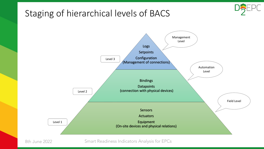#### Staging of hierarchical levels of BACS





8th June 2022

Smart Readiness Indicators Analysis for EPCs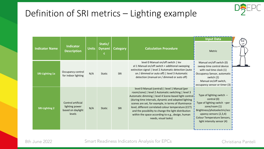

#### Definition of SRI metrics – Lighting example

| <b>Indicator Name</b>  | <b>Indicator</b><br><b>Description</b>                              | <b>Units</b> | Static/<br><b>Dynami</b><br>C. | <b>Category</b> | <b>Calculation Procedure</b>                                                                                                                                                                                                                                                                                                                                                                                                                                               | <b>Input Data</b><br>Metric                                                                                                                                                                                               |
|------------------------|---------------------------------------------------------------------|--------------|--------------------------------|-----------------|----------------------------------------------------------------------------------------------------------------------------------------------------------------------------------------------------------------------------------------------------------------------------------------------------------------------------------------------------------------------------------------------------------------------------------------------------------------------------|---------------------------------------------------------------------------------------------------------------------------------------------------------------------------------------------------------------------------|
| <b>SRI-Lighting 1a</b> | Occupancy control<br>for indoor lighting                            | N/A          | <b>Static</b>                  | SRI             | level 0 Manual on/off switch   lev<br>el 1 Manual on/off switch + additional sweeping<br>extinction signal   level 2 Automatic detection (auto<br>on / dimmed or auto off)   level 3 Automatic<br>detection (manual on / dimmed or auto off)                                                                                                                                                                                                                               | Manual on/off switch (0)<br>sweep time control device<br>with real time clock (1)<br>Occupancy Sensor, automatic<br>switch (2)<br>Manual on/off switch,<br>occupancy sensor or timer (3)                                  |
| <b>SRI-Lighting 2</b>  | Control artificial<br>lighting power<br>based on daylight<br>levels | N/A          | <b>Static</b>                  | SRI             | level 0 Manual (central)   level 1 Manual (per<br>room/zone)   level 2 Automatic switching   level 3<br>Automatic dimming   level 4 Scene-based light control<br>(during time intervals, dynamic and adapted lighting<br>scenes are set, for example, in terms of illuminance<br>level, different correlated colour temperature (CCT)<br>and the possibility to change the light distribution<br>within the space according to e.g., design, human<br>needs, visual tasks) | Type of lighting switch $-$<br>central (0)<br>Type of lighting switch -per<br>zone/room (1)<br>Brightness/photoelectric/occ<br>upancy sensors (2,3,4)<br><b>Colour Temperature Sensors,</b><br>light intensity sensor (4) |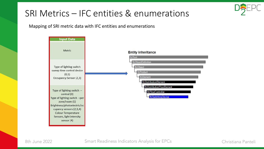

#### SRI Metrics – IFC entities & enumerations

Mapping of SRI metric data with IFC entities and enumerations



8th June 2022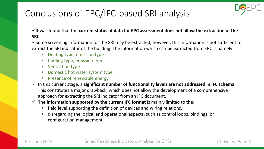#### Conclusions of EPC/IFC-based SRI analysis



✓It was found that the **current status of data for EPC assessment does not allow the extraction of the SRI.**

 $\checkmark$  Some screening information for the SRI may be extracted, however, this information is not sufficient to extract the SRI indicator of the building. The information which can be extracted from EPC is namely:

- Heating type, emission type
- Cooling type, emission type
- Ventilation type
- Domestic hot water system type
- Presence of renewable energy
- ✓ In this current stage, a **significant number of functionality levels are not addressed in IFC schema**. This constitutes a major drawback, which does not allow the development of a comprehensive approach for extracting the SRI indicator from an IFC document.
- ✓ **The information supported by the current IFC format** is mainly limited to the:
	- field level supporting the definition of devices and wiring relations,
	- disregarding the logical and operational aspects, such as control loops, bindings, or configuration management.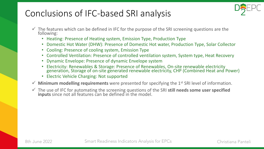#### Conclusions of IFC-based SRI analysis



- $\checkmark$  The features which can be defined in IFC for the purpose of the SRI screening questions are the following:
	- Heating: Presence of Heating system, Emission Type, Production Type
	- Domestic Hot Water (DHW): Presence of Domestic Hot water, Production Type, Solar Collector
	- Cooling: Presence of cooling system, Emission Type
	- Controlled Ventilation: Presence of controlled ventilation system, System type, Heat Recovery
	- Dynamic Envelope: Presence of dynamic Envelope system
	- Electricity: Renewables & Storage: Presence of Renewables, On-site renewable electricity generation, Storage of on-site generated renewable electricity, CHP (Combined Heat and Power)
	- Electric Vehicle Charging: Not supported
- ✓ **Minimum modelling requirements** were presented for specifying the 1st SRI level of information.
- ✓ The use of IFC for automating the screening questions of the SRI **still needs some user specified inputs** since not all features can be defined in the model.